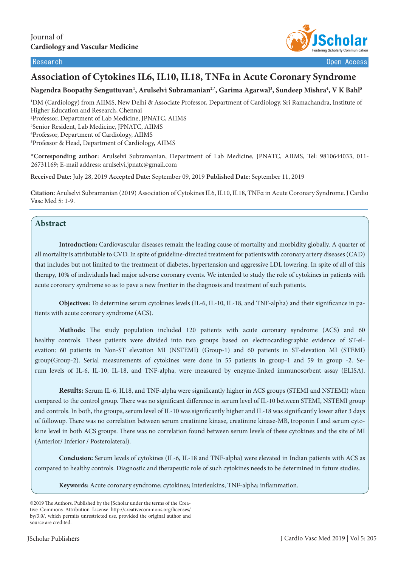



# **Association of Cytokines IL6, IL10, IL18, TNFα in Acute Coronary Syndrome**

## Nagendra Boopathy Senguttuvan<sup>1</sup>, Arulselvi Subramanian<sup>2,</sup>\*, Garima Agarwal<sup>3</sup>, Sundeep Mishra<sup>4</sup>, V K Bahl<sup>5</sup>

 DM (Cardiology) from AIIMS, New Delhi & Associate Professor, Department of Cardiology, Sri Ramachandra, Institute of Higher Education and Research, Chennai Professor, Department of Lab Medicine, JPNATC, AIIMS Senior Resident, Lab Medicine, JPNATC, AIIMS Professor, Department of Cardiology, AIIMS Professor & Head, Department of Cardiology, AIIMS

**\*Corresponding author:** Arulselvi Subramanian, Department of Lab Medicine, JPNATC, AIIMS, Tel: 9810644033, 011- 26731169; E-mail address: arulselvi.jpnatc@gmail.com

**Received Date:** July 28, 2019 **Accepted Date:** September 09, 2019 **Published Date:** September 11, 2019

**Citation:** Arulselvi Subramanian (2019) Association of Cytokines IL6, IL10, IL18, TNFα in Acute Coronary Syndrome. J Cardio Vasc Med 5: 1-9.

### **Abstract**

**Introduction:** Cardiovascular diseases remain the leading cause of mortality and morbidity globally. A quarter of all mortality is attributable to CVD. In spite of guideline-directed treatment for patients with coronary artery diseases (CAD) that includes but not limited to the treatment of diabetes, hypertension and aggressive LDL lowering. In spite of all of this therapy, 10% of individuals had major adverse coronary events. We intended to study the role of cytokines in patients with acute coronary syndrome so as to pave a new frontier in the diagnosis and treatment of such patients.

**Objectives:** To determine serum cytokines levels (IL-6, IL-10, IL-18, and TNF-alpha) and their significance in patients with acute coronary syndrome (ACS).

**Methods:** The study population included 120 patients with acute coronary syndrome (ACS) and 60 healthy controls. These patients were divided into two groups based on electrocardiographic evidence of ST-elevation: 60 patients in Non-ST elevation MI (NSTEMI) (Group-1) and 60 patients in ST-elevation MI (STEMI) group(Group-2). Serial measurements of cytokines were done in 55 patients in group-1 and 59 in group -2. Serum levels of IL-6, IL-10, IL-18, and TNF-alpha, were measured by enzyme-linked immunosorbent assay (ELISA).

**Results:** Serum IL-6, IL18, and TNF-alpha were significantly higher in ACS groups (STEMI and NSTEMI) when compared to the control group. There was no significant difference in serum level of IL-10 between STEMI, NSTEMI group and controls. In both, the groups, serum level of IL-10 was significantly higher and IL-18 was significantly lower after 3 days of followup. There was no correlation between serum creatinine kinase, creatinine kinase-MB, troponin I and serum cytokine level in both ACS groups. There was no correlation found between serum levels of these cytokines and the site of MI (Anterior/ Inferior / Posterolateral).

**Conclusion:** Serum levels of cytokines (IL-6, IL-18 and TNF-alpha) were elevated in Indian patients with ACS as compared to healthy controls. Diagnostic and therapeutic role of such cytokines needs to be determined in future studies.

**Keywords:** Acute coronary syndrome; cytokines; Interleukins; TNF-alpha; inflammation.

<sup>©2019</sup> The Authors. Published by the JScholar under the terms of the Creative Commons Attribution License http://creativecommons.org/licenses/ by/3.0/, which permits unrestricted use, provided the original author and source are credited.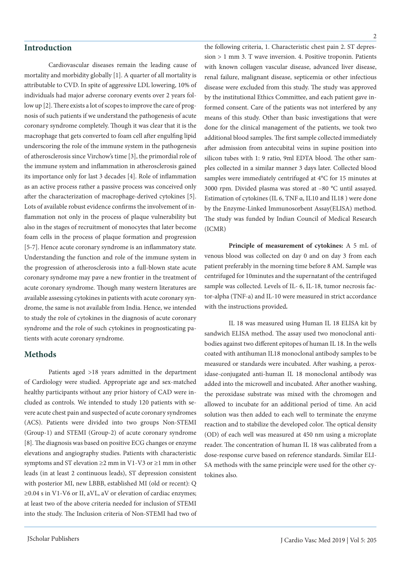## **Introduction**

Cardiovascular diseases remain the leading cause of mortality and morbidity globally [1]. A quarter of all mortality is attributable to CVD. In spite of aggressive LDL lowering, 10% of individuals had major adverse coronary events over 2 years follow up [2]. There exists a lot of scopes to improve the care of prognosis of such patients if we understand the pathogenesis of acute coronary syndrome completely. Though it was clear that it is the macrophage that gets converted to foam cell after engulfing lipid underscoring the role of the immune system in the pathogenesis of atherosclerosis since Virchow's time [3], the primordial role of the immune system and inflammation in atherosclerosis gained its importance only for last 3 decades [4]. Role of inflammation as an active process rather a passive process was conceived only after the characterization of macrophage-derived cytokines [5]. Lots of available robust evidence confirms the involvement of inflammation not only in the process of plaque vulnerability but also in the stages of recruitment of monocytes that later become foam cells in the process of plaque formation and progression [5-7]. Hence acute coronary syndrome is an inflammatory state. Understanding the function and role of the immune system in the progression of atherosclerosis into a full-blown state acute coronary syndrome may pave a new frontier in the treatment of acute coronary syndrome. Though many western literatures are available assessing cytokines in patients with acute coronary syndrome, the same is not available from India. Hence, we intended to study the role of cytokines in the diagnosis of acute coronary syndrome and the role of such cytokines in prognosticating patients with acute coronary syndrome.

### **Methods**

Patients aged >18 years admitted in the department of Cardiology were studied. Appropriate age and sex-matched healthy participants without any prior history of CAD were included as controls. We intended to study 120 patients with severe acute chest pain and suspected of acute coronary syndromes (ACS). Patients were divided into two groups Non-STEMI (Group-1) and STEMI (Group-2) of acute coronary syndrome [8]. The diagnosis was based on positive ECG changes or enzyme elevations and angiography studies. Patients with characteristic symptoms and ST elevation ≥2 mm in V1-V3 or ≥1 mm in other leads (in at least 2 continuous leads), ST depression consistent with posterior MI, new LBBB, established MI (old or recent): Q ≥0.04 s in V1-V6 or II, aVL, aV or elevation of cardiac enzymes; at least two of the above criteria needed for inclusion of STEMI into the study. The Inclusion criteria of Non-STEMI had two of the following criteria, 1. Characteristic chest pain 2. ST depression > 1 mm 3. T wave inversion. 4. Positive troponin. Patients with known collagen vascular disease, advanced liver disease, renal failure, malignant disease, septicemia or other infectious disease were excluded from this study. The study was approved by the institutional Ethics Committee, and each patient gave informed consent. Care of the patients was not interfered by any means of this study. Other than basic investigations that were done for the clinical management of the patients, we took two additional blood samples. The first sample collected immediately after admission from antecubital veins in supine position into silicon tubes with 1: 9 ratio, 9ml EDTA blood. The other samples collected in a similar manner 3 days later. Collected blood samples were immediately centrifuged at 4°C for 15 minutes at 3000 rpm. Divided plasma was stored at –80 °C until assayed. Estimation of cytokines (IL 6, TNF α, IL10 and IL18 ) were done by the Enzyme-Linked Immunosorbent Assay(ELISA) method. The study was funded by Indian Council of Medical Research (ICMR)

**Principle of measurement of cytokines:** A 5 mL of venous blood was collected on day 0 and on day 3 from each patient preferably in the morning time before 8 AM. Sample was centrifuged for 10minutes and the supernatant of the centrifuged sample was collected. Levels of IL- 6, IL-18, tumor necrosis factor-alpha (TNF-a) and IL-10 were measured in strict accordance with the instructions provided*.* 

IL 18 was measured using Human IL 18 ELISA kit by sandwich ELISA method. The assay used two monoclonal antibodies against two different epitopes of human IL 18. In the wells coated with antihuman IL18 monoclonal antibody samples to be measured or standards were incubated. After washing, a peroxidase-conjugated anti-human IL 18 monoclonal antibody was added into the microwell and incubated. After another washing, the peroxidase substrate was mixed with the chromogen and allowed to incubate for an additional period of time. An acid solution was then added to each well to terminate the enzyme reaction and to stabilize the developed color. The optical density (OD) of each well was measured at 450 nm using a microplate reader. The concentration of human IL 18 was calibrated from a dose-response curve based on reference standards. Similar ELI-SA methods with the same principle were used for the other cytokines also.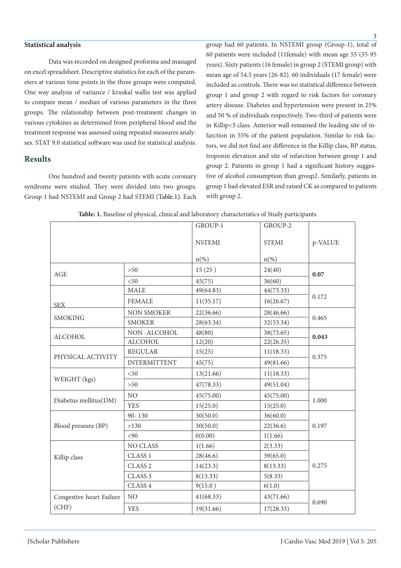#### **Statistical analysis**

Data was recorded on designed proforma and managed on excel spreadsheet. Descriptive statistics for each of the parameters at various time points in the three groups were computed. One way analysis of variance / kruskal wallis test was applied to compare mean / median of various parameters in the three groups. The relationship between post-treatment changes in various cytokines as determined from peripheral blood and the treatment response was assessed using repeated measures analyses. STAT 9.0 statistical software was used for statistical analysis.

### **Results**

One hundred and twenty patients with acute coronary syndrome were studied. They were divided into two groups. Group 1 had NSTEMI and Group 2 had STEMI (Table.1). Each

group had 60 patients. In NSTEMI group (Group-1), total of 60 patients were included (11female) with mean age 55 (35-95 years). Sixty patients (16 female) in group 2 (STEMI group) with mean age of 54.5 years (26-82). 60 individuals (17 female) were included as controls. There was no statistical difference between group 1 and group 2 with regard to risk factors for coronary artery disease. Diabetes and hypertension were present in 25% and 50 % of individuals respectively. Two-third of patients were in Killip<3 class. Anterior wall remained the leading site of infarction in 55% of the patient population. Similar to risk factors, we did not find any difference in the Killip class, BP status, troponin elevation and site of infarction between group 1 and group 2. Patients in group 1 had a significant history suggestive of alcohol consumption than group2. Similarly, patients in group 1 had elevated ESR and raised CK as compared to patients with group 2.

|                          |                     | GROUP-1            | GROUP-2      |         |  |
|--------------------------|---------------------|--------------------|--------------|---------|--|
|                          |                     | <b>NSTEMI</b>      | <b>STEMI</b> | p-VALUE |  |
|                          |                     | $n$ <sup>(%)</sup> | $n(\%)$      |         |  |
| AGE                      | >50                 | 15(25)             | 24(40)       | 0.07    |  |
|                          | $50$                | 45(75)             | 36(60)       |         |  |
|                          | MALE                | 49(64.83)          | 44(73.33)    |         |  |
| <b>SEX</b>               | <b>FEMALE</b>       | 11(35.17)          | 16(26.67)    | 0.172   |  |
|                          | <b>NON SMOKER</b>   | 22(36.66)          | 28(46.66)    | 0.465   |  |
| <b>SMOKING</b>           | <b>SMOKER</b>       | 28(63.34)          | 32(53.34)    |         |  |
| <b>ALCOHOL</b>           | NON-ALCOHOL         | 48(80)             | 38(73.65)    | 0.043   |  |
|                          | <b>ALCOHOL</b>      | 12(20)             | 22(26.35)    |         |  |
| PHYSICAL ACTIVITY        | <b>REGULAR</b>      | 15(25)             | 11(18.33)    | 0.375   |  |
|                          | <b>INTERMITTENT</b> | 45(75)             | 49(81.66)    |         |  |
| WEIGHT (kgs)             | $50$                | 13(21.66)          | 11(18.33)    |         |  |
|                          | >50                 | 47(78.33)          | 49(51.04)    |         |  |
| Diabetus mellitus(DM)    | $_{\rm NO}$         | 45(75.00)          | 45(75.00)    | 1.000   |  |
|                          | <b>YES</b>          | 15(25.0)           | 15(25.0)     |         |  |
| Blood pressure (BP)      | $90 - 130$          | 30(50.0)           | 36(60.0)     | 0.197   |  |
|                          | >130                | 30(50.0)           | 22(36.6)     |         |  |
|                          | <90                 | 0(0.00)            | 1(1.66)      |         |  |
| Killip class             | NO CLASS            | 1(1.66)            | 2(3.33)      | 0.275   |  |
|                          | CLASS 1             | 28(46.6)           | 39(65.0)     |         |  |
|                          | CLASS <sub>2</sub>  | 14(23.3)           | 8(13.33)     |         |  |
|                          | CLASS <sub>3</sub>  | 8(13.33)           | 5(8.33)      |         |  |
|                          | CLASS 4             | 9(15.0)            | 6(1.0)       |         |  |
| Congestive heart Failure | $\rm NO$            | 41(68.33)          | 43(71.66)    | 0.690   |  |
| (CHF)                    | <b>YES</b>          | 19(31.66)          | 17(28.33)    |         |  |

**Table: 1.** Baseline of physical, clinical and laboratory characteristics of Study participants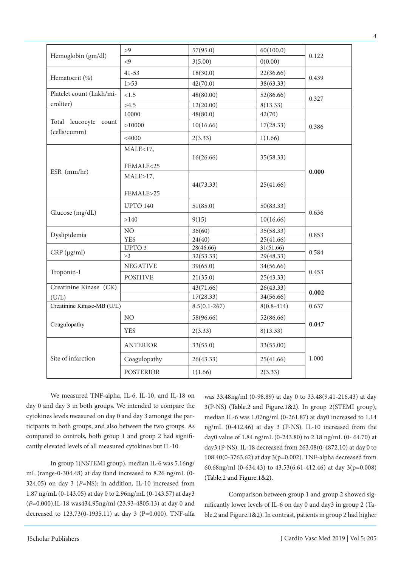|                            | >9               | 57(95.0)               | 60(100.0)      |       |  |
|----------------------------|------------------|------------------------|----------------|-------|--|
| Hemoglobin (gm/dl)         | $\leq$ 9         | 3(5.00)                | 0(0.00)        | 0.122 |  |
|                            | $41 - 53$        | 18(30.0)               | 22(36.66)      |       |  |
| Hematocrit (%)             | 1 > 53           | 42(70.0)               | 38(63.33)      | 0.439 |  |
| Platelet count (Lakh/mi-   | < 1.5            | 48(80.00)              | 52(86.66)      | 0.327 |  |
| croliter)                  | >4.5             | 8(13.33)<br>12(20.00)  |                |       |  |
| Total leucocyte count      | 10000            | 48(80.0)               | 42(70)         |       |  |
|                            | >10000           | 10(16.66)              | 17(28.33)      | 0.386 |  |
| (cells/cumm)               | $<$ 4000         | 2(3.33)                | 1(1.66)        |       |  |
|                            | MALE<17,         |                        |                |       |  |
|                            |                  | 16(26.66)              | 35(58.33)      |       |  |
| ESR (mm/hr)                | FEMALE<25        |                        |                | 0.000 |  |
|                            | MALE>17,         |                        |                |       |  |
|                            | FEMALE>25        | 44(73.33)              | 25(41.66)      |       |  |
|                            |                  |                        |                |       |  |
|                            | <b>UPTO 140</b>  | 51(85.0)               | 50(83.33)      | 0.636 |  |
| Glucose (mg/dL)            | >140             | 9(15)                  | 10(16.66)      |       |  |
| Dyslipidemia               | NO               | 36(60)                 | 35(58.33)      |       |  |
|                            | <b>YES</b>       | 24(40)                 | 25(41.66)      | 0.853 |  |
|                            | UPTO 3           | 28(46.66)              | 31(51.66)      |       |  |
| $CRP (\mu g/ml)$           | >3               | 32(53.33)              | 29(48.33)      | 0.584 |  |
| Troponin-I                 | <b>NEGATIVE</b>  | 39(65.0)               | 34(56.66)      |       |  |
|                            | <b>POSITIVE</b>  | 21(35.0)               | 25(43.33)      | 0.453 |  |
| Creatinine Kinase (CK)     |                  | 43(71.66)              | 26(43.33)      |       |  |
| (U/L)                      |                  | 17(28.33)              | 34(56.66)      | 0.002 |  |
| Creatinine Kinase-MB (U/L) |                  | $8.5(0.1 - 267)$       | $8(0.8 - 414)$ | 0.637 |  |
| Coagulopathy               | NO               | 58(96.66)              | 52(86.66)      |       |  |
|                            | <b>YES</b>       | 2(3.33)                | 8(13.33)       | 0.047 |  |
| Site of infarction         | <b>ANTERIOR</b>  | 33(55.0)               | 33(55.00)      |       |  |
|                            | Coagulopathy     | 26(43.33)<br>25(41.66) |                | 1.000 |  |
|                            | <b>POSTERIOR</b> | 1(1.66)                | 2(3.33)        |       |  |

We measured TNF-alpha, IL-6, IL-10, and IL-18 on day 0 and day 3 in both groups. We intended to compare the cytokines levels measured on day 0 and day 3 amongst the participants in both groups, and also between the two groups. As compared to controls, both group 1 and group 2 had significantly elevated levels of all measured cytokines but IL-10.

In group 1(NSTEMI group), median IL-6 was 5.16ng/ mL (range-0-304.48) at day 0and increased to 8.26 ng/mL (0- 324.05) on day 3 (*P*=NS); in addition, IL-10 increased from 1.87 ng/mL (0-143.05) at day 0 to 2.96ng/mL (0-143.57) at day3 (*P*=0.000).IL-18 was434.95ng/ml (23.93-4805.13) at day 0 and decreased to 123.73(0-1935.11) at day 3 (P=0.000). TNF-alfa

was 33.48ng/ml (0-98.89) at day 0 to 33.48(9.41-216.43) at day 3(P-NS) (Table.2 and Figure.1&2). In group 2(STEMI group), median IL-6 was 1.07ng/ml (0-261.87) at day0 increased to 1.14 ng/mL (0-412.46) at day 3 (P-NS). IL-10 increased from the day0 value of 1.84 ng/mL (0-243.80) to 2.18 ng/mL (0- 64.70) at day3 (P-NS). IL-18 decreased from 263.08(0-4872.10) at day 0 to 108.40(0-3763.62) at day 3(p=0.002). TNF-alpha decreased from 60.68ng/ml (0-634.43) to 43.53(6.61-412.46) at day 3(p=0.008) (Table.2 and Figure.1&2).

Comparison between group 1 and group 2 showed significantly lower levels of IL-6 on day 0 and day3 in group 2 (Table.2 and Figure.1&2). In contrast, patients in group 2 had higher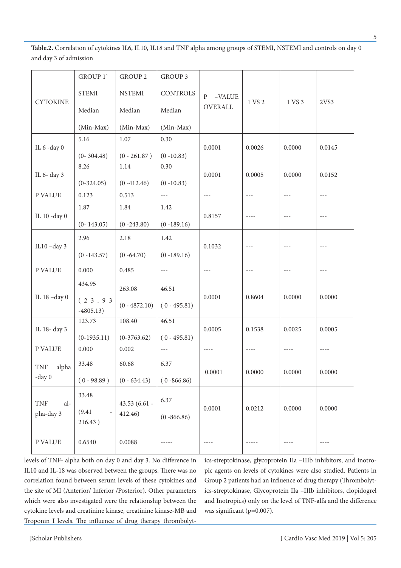**Table.2.** Correlation of cytokines IL6, IL10, IL18 and TNF alpha among groups of STEMI, NSTEMI and controls on day 0 and day 3 of admission

| <b>CYTOKINE</b>                | GROUP 1'               | <b>GROUP 2</b>  | GROUP 3              |                          | 1 VS 2 | 1 VS 3              | 2VS3                                                                                                                                                                                                                                                                                                                                                                                         |
|--------------------------------|------------------------|-----------------|----------------------|--------------------------|--------|---------------------|----------------------------------------------------------------------------------------------------------------------------------------------------------------------------------------------------------------------------------------------------------------------------------------------------------------------------------------------------------------------------------------------|
|                                | <b>STEMI</b>           | <b>NSTEMI</b>   | <b>CONTROLS</b>      | $\mathbf{P}$<br>$-VALUE$ |        |                     |                                                                                                                                                                                                                                                                                                                                                                                              |
|                                | Median                 | Median          | Median               | OVERALL                  |        |                     |                                                                                                                                                                                                                                                                                                                                                                                              |
|                                | (Min-Max)              | (Min-Max)       | (Min-Max)            |                          |        |                     |                                                                                                                                                                                                                                                                                                                                                                                              |
| IL 6 -day 0                    | 5.16                   | 1.07            | 0.30                 | 0.0001                   | 0.0026 | 0.0000              | 0.0145                                                                                                                                                                                                                                                                                                                                                                                       |
|                                | $(0-304.48)$           | $(0 - 261.87)$  | $(0 - 10.83)$        |                          |        |                     |                                                                                                                                                                                                                                                                                                                                                                                              |
| IL 6- day 3                    | 8.26                   | 1.14            | 0.30                 | 0.0001                   | 0.0005 | 0.0000              | 0.0152                                                                                                                                                                                                                                                                                                                                                                                       |
|                                | $(0-324.05)$           | $(0 - 412.46)$  | $(0 - 10.83)$        |                          |        |                     |                                                                                                                                                                                                                                                                                                                                                                                              |
| P VALUE                        | 0.123                  | 0.513           | $\sim$ $\sim$ $\sim$ | $- - -$                  | $  -$  | $- - -$             | $\sim$ $\sim$ $\sim$                                                                                                                                                                                                                                                                                                                                                                         |
|                                | 1.87                   | 1.84            | 1.42                 |                          | $---$  | $\qquad \qquad - -$ | $---$                                                                                                                                                                                                                                                                                                                                                                                        |
| IL 10 -day 0                   | $(0-143.05)$           | $(0 - 243.80)$  | $(0 - 189.16)$       | 0.8157                   |        |                     |                                                                                                                                                                                                                                                                                                                                                                                              |
| IL $10$ -day 3                 | 2.96                   | 2.18            | 1.42                 | 0.1032                   | $  -$  | $- - -$             | $---$                                                                                                                                                                                                                                                                                                                                                                                        |
|                                | $(0 - 143.57)$         | $(0 - 64.70)$   | $(0 - 189.16)$       |                          |        |                     |                                                                                                                                                                                                                                                                                                                                                                                              |
| P VALUE                        | 0.000                  | 0.485           | $---$                | $---$                    | ---    | $---$               | $---$                                                                                                                                                                                                                                                                                                                                                                                        |
| IL 18 -day 0                   | 434.95                 | 263.08          | 46.51                |                          | 0.8604 | 0.0000              | 0.0000                                                                                                                                                                                                                                                                                                                                                                                       |
|                                | (23.93)<br>$-4805.13)$ | $(0 - 4872.10)$ | $(0 - 495.81)$       | 0.0001                   |        |                     |                                                                                                                                                                                                                                                                                                                                                                                              |
| IL 18- day 3                   | 123.73                 | 108.40          | 46.51                |                          | 0.1538 | 0.0025              | 0.0005                                                                                                                                                                                                                                                                                                                                                                                       |
|                                | $(0-1935.11)$          | $(0-3763.62)$   | $(0 - 495.81)$       | 0.0005                   |        |                     |                                                                                                                                                                                                                                                                                                                                                                                              |
| P VALUE                        | 0.000                  | 0.002           | $- - -$              | $- - - - -$              | $---$  | $- - - -$           | $\frac{1}{2} \frac{1}{2} \frac{1}{2} \frac{1}{2} \frac{1}{2} \frac{1}{2} \frac{1}{2} \frac{1}{2} \frac{1}{2} \frac{1}{2} \frac{1}{2} \frac{1}{2} \frac{1}{2} \frac{1}{2} \frac{1}{2} \frac{1}{2} \frac{1}{2} \frac{1}{2} \frac{1}{2} \frac{1}{2} \frac{1}{2} \frac{1}{2} \frac{1}{2} \frac{1}{2} \frac{1}{2} \frac{1}{2} \frac{1}{2} \frac{1}{2} \frac{1}{2} \frac{1}{2} \frac{1}{2} \frac{$ |
| TNF<br>alpha<br>$-day0$        | 33.48                  | 60.68           | 6.37                 |                          | 0.0000 | 0.0000              | 0.0000                                                                                                                                                                                                                                                                                                                                                                                       |
|                                | $(0 - 98.89)$          | $(0 - 634.43)$  | $(0 - 866.86)$       | 0.0001                   |        |                     |                                                                                                                                                                                                                                                                                                                                                                                              |
| <b>TNF</b><br>al-<br>pha-day 3 | 33.48                  | 43.53 (6.61 -   | 6.37                 |                          | 0.0212 | 0.0000              | 0.0000                                                                                                                                                                                                                                                                                                                                                                                       |
|                                | (9.41)<br>216.43)      | 412.46)         | $(0 - 866.86)$       | 0.0001                   |        |                     |                                                                                                                                                                                                                                                                                                                                                                                              |
| P VALUE                        | 0.6540                 | 0.0088          | $- - - - -$          | $---$                    | -----  | $---$               | $- - - -$                                                                                                                                                                                                                                                                                                                                                                                    |

levels of TNF- alpha both on day 0 and day 3. No difference in IL10 and IL-18 was observed between the groups. There was no correlation found between serum levels of these cytokines and the site of MI (Anterior/ Inferior /Posterior). Other parameters which were also investigated were the relationship between the cytokine levels and creatinine kinase, creatinine kinase-MB and Troponin I levels. The influence of drug therapy thrombolytics-streptokinase, glycoprotein IIa –IIIb inhibitors, and inotropic agents on levels of cytokines were also studied. Patients in Group 2 patients had an influence of drug therapy (Thrombolytics-streptokinase, Glycoprotein IIa –IIIb inhibitors, clopidogrel and Inotropics) only on the level of TNF-alfa and the difference was significant (p=0.007).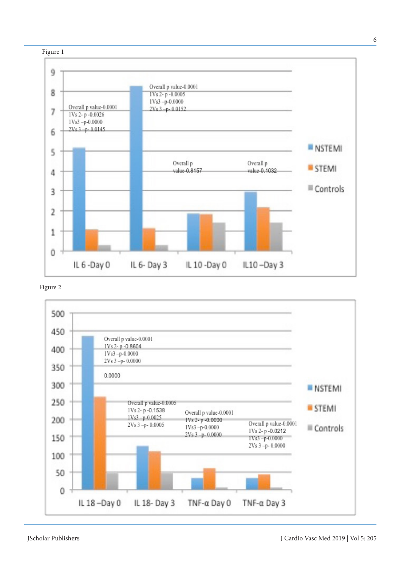

Figure 2

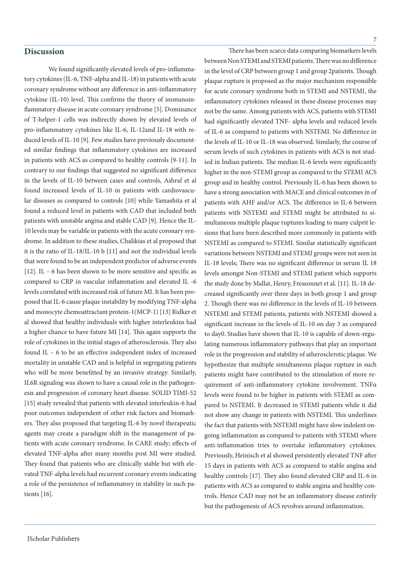#### **Discussion**

We found significantly elevated levels of pro-inflammatory cytokines (IL-6, TNF-alpha and IL-18) in patients with acute coronary syndrome without any difference in anti-inflammatory cytokine (IL-10) level. This confirms the theory of immunoinflammatory disease in acute coronary syndrome [5]. Dominance of T-helper-1 cells was indirectly shown by elevated levels of pro-inflammatory cytokines like IL-6, IL-12and IL-18 with reduced levels of IL-10 [9]. Few studies have previously documented similar findings that inflammatory cytokines are increased in patients with ACS as compared to healthy controls [9-11]. In contrary to our findings that suggested no significant difference in the levels of IL-10 between cases and controls, Ashraf et al found increased levels of IL-10 in patients with cardiovascular diseases as compared to controls [10] while Yamashita et al found a reduced level in patients with CAD that included both patients with unstable angina and stable CAD [9]. Hence the IL-10 levels may be variable in patients with the acute coronary syndrome. In addition to these studies, Chalikias et al proposed that it is the ratio of IL-18/IL-10 b [11] and not the individual levels that were found to be an independent predictor of adverse events [12]. IL – 6 has been shown to be more sensitive and specific as compared to CRP in vascular inflammation and elevated IL -6 levels correlated with increased risk of future MI. It has been proposed that IL-6 cause plaque instability by modifying TNF-alpha and monocyte chemoattractant protein-1(MCP-1) [13] Ridker et al showed that healthy individuals with higher interleukins had a higher chance to have future MI [14]. This again supports the role of cytokines in the initial stages of atherosclerosis. They also found IL – 6 to be an effective independent index of increased mortality in unstable CAD and is helpful in segregating patients who will be more benefitted by an invasive strategy. Similarly, IL6R signaling was shown to have a causal role in the pathogenesis and progression of coronary heart disease. SOLID TIMI-52 [15] study revealed that patients with elevated interleukin-6 had poor outcomes independent of other risk factors and biomarkers. They also proposed that targeting IL-6 by novel therapeutic agents may create a paradigm shift in the management of patients with acute coronary syndrome. In CARE study; effects of elevated TNF-alpha after many months post MI were studied. They found that patients who are clinically stable but with elevated TNF-alpha levels had recurrent coronary events indicating a role of the persistence of inflammatory in stability in such patients [16].

There has been scarce data comparing biomarkers levels between Non STEMI and STEMI patients. There was no difference in the level of CRP between group 1 and group 2patients. Though plaque rupture is proposed as the major mechanism responsible for acute coronary syndrome both in STEMI and NSTEMI, the inflammatory cytokines released in these disease processes may not be the same. Among patients with ACS, patients with STEMI had significantly elevated TNF- alpha levels and reduced levels of IL-6 as compared to patients with NSTEMI. No difference in the levels of IL-10 or IL-18 was observed. Similarly, the course of serum levels of such cytokines in patients with ACS is not studied in Indian patients. The median IL-6 levels were significantly higher in the non-STEMI group as compared to the STEMI ACS group and in healthy control. Previously IL-6 has been shown to have a strong association with MACE and clinical outcomes in of patients with AHF and/or ACS. The difference in IL-6 between patients with NSTEMI and STEMI might be attributed to simultaneous multiple plaque ruptures leading to many culprit lesions that have been described more commonly in patients with NSTEMI as compared to STEMI. Similar statistically significant variations between NSTEMI and STEMI groups were not seen in IL-18 levels; There was no significant difference in serum IL 18 levels amongst Non-STEMI and STEMI patient which supports the study done by Mallat, Henry, Fressonnet et al. [11]. IL-18 decreased significantly over three days in both group 1 and group 2. Though there was no difference in the levels of IL-10 between NSTEMI and STEMI patients, patients with NSTEMI showed a significant increase in the levels of IL-10 on day 3 as compared to day0. Studies have shown that IL-10 is capable of down-regulating numerous inflammatory pathways that play an important role in the progression and stability of atherosclerotic plaque. We hypothesize that multiple simultaneous plaque rupture in such patients might have contributed to the stimulation of more requirement of anti-inflammatory cytokine involvement. TNFα levels were found to be higher in patients with STEMI as compared to NSTEMI. It decreased in STEMI patients while it did not show any change in patients with NSTEMI. This underlines the fact that patients with NSTEMI might have slow indolent ongoing inflammation as compared to patients with STEMI where anti-inflammation tries to overtake inflammatory cytokines. Previously, Heinisch et al showed persistently elevated TNF after 15 days in patients with ACS as compared to stable angina and healthy controls [17]. They also found elevated CRP and IL-6 in patients with ACS as compared to stable angina and healthy controls. Hence CAD may not be an inflammatory disease entirely but the pathogenesis of ACS revolves around inflammation.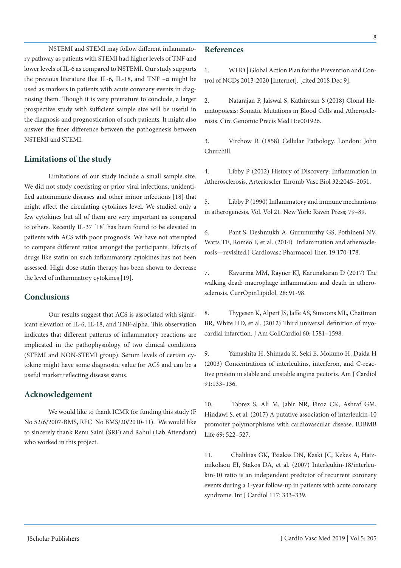NSTEMI and STEMI may follow different inflammatory pathway as patients with STEMI had higher levels of TNF and lower levels of IL-6 as compared to NSTEMI. Our study supports the previous literature that IL-6, IL-18, and TNF –α might be used as markers in patients with acute coronary events in diagnosing them. Though it is very premature to conclude, a larger prospective study with sufficient sample size will be useful in the diagnosis and prognostication of such patients. It might also answer the finer difference between the pathogenesis between NSTEMI and STEMI.

## **Limitations of the study**

Limitations of our study include a small sample size. We did not study coexisting or prior viral infections, unidentified autoimmune diseases and other minor infections [18] that might affect the circulating cytokines level. We studied only a few cytokines but all of them are very important as compared to others. Recently IL-37 [18] has been found to be elevated in patients with ACS with poor prognosis. We have not attempted to compare different ratios amongst the participants. Effects of drugs like statin on such inflammatory cytokines has not been assessed. High dose statin therapy has been shown to decrease the level of inflammatory cytokines [19].

## **Conclusions**

Our results suggest that ACS is associated with significant elevation of IL-6, IL-18, and TNF-alpha. This observation indicates that different patterns of inflammatory reactions are implicated in the pathophysiology of two clinical conditions (STEMI and NON-STEMI group). Serum levels of certain cytokine might have some diagnostic value for ACS and can be a useful marker reflecting disease status.

### **Acknowledgement**

We would like to thank ICMR for funding this study (F No 52/6/2007-BMS, RFC No BMS/20/2010-11). We would like to sincerely thank Renu Saini (SRF) and Rahul (Lab Attendant) who worked in this project.

## **References**

1. WHO | Global Action Plan for the Prevention and Control of NCDs 2013-2020 [Internet]. [cited 2018 Dec 9].

2. Natarajan P, Jaiswal S, Kathiresan S (2018) Clonal Hematopoiesis: Somatic Mutations in Blood Cells and Atherosclerosis. Circ Genomic Precis Med11:e001926.

3. Virchow R (1858) Cellular Pathology. London: John Churchill.

4. Libby P (2012) History of Discovery: Inflammation in Atherosclerosis. Arterioscler Thromb Vasc Biol 32:2045–2051.

5. Libby P (1990) Inflammatory and immune mechanisms in atherogenesis. Vol. Vol 21. New York: Raven Press; 79–89.

6. Pant S, Deshmukh A, Gurumurthy GS, Pothineni NV, Watts TE, Romeo F, et al. (2014) Inflammation and atherosclerosis—revisited.J Cardiovasc Pharmacol Ther. 19:170-178.

7. Kavurma MM, Rayner KJ, Karunakaran D (2017) The walking dead: macrophage inflammation and death in atherosclerosis. CurrOpinLipidol. 28: 91-98.

8. Thygesen K, Alpert JS, Jaffe AS, Simoons ML, Chaitman BR, White HD, et al. (2012) Third universal definition of myocardial infarction. J Am CollCardiol 60: 1581–1598.

9. Yamashita H, Shimada K, Seki E, Mokuno H, Daida H (2003) Concentrations of interleukins, interferon, and C-reactive protein in stable and unstable angina pectoris. Am J Cardiol 91:133–136.

10. Tabrez S, Ali M, Jabir NR, Firoz CK, Ashraf GM, Hindawi S, et al. (2017) A putative association of interleukin-10 promoter polymorphisms with cardiovascular disease. IUBMB Life 69: 522–527.

11. Chalikias GK, Tziakas DN, Kaski JC, Kekes A, Hatzinikolaou EI, Stakos DA, et al. (2007) Interleukin-18/interleukin-10 ratio is an independent predictor of recurrent coronary events during a 1-year follow-up in patients with acute coronary syndrome. Int J Cardiol 117: 333–339.